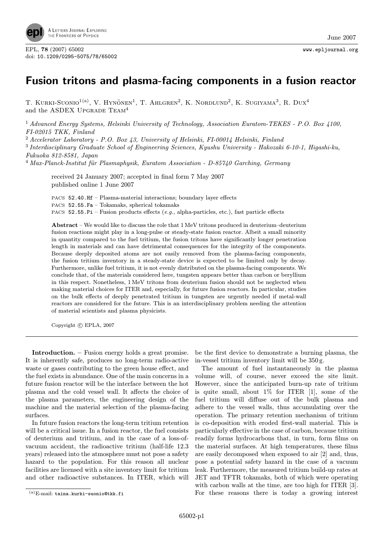

## Fusion tritons and plasma-facing components in a fusion reactor

T. KURKI-SUONIO<sup>1(a)</sup>, V. HYNÖNEN<sup>1</sup>, T. AHLGREN<sup>2</sup>, K. NORDLUND<sup>2</sup>, K. SUGIYAMA<sup>3</sup>, R. DUX<sup>4</sup> and the ASDEX UPGRADE TEAM<sup>4</sup>

<sup>1</sup> Advanced Energy Systems, Helsinki University of Technology, Association Euratom-TEKES - P.O. Box 4100, FI-02015 TKK, Finland

<sup>2</sup> Accelerator Laboratory - P.O. Box 43, University of Helsinki, FI-00014 Helsinki, Finland

<sup>3</sup> Interdisciplinary Graduate School of Engineering Sciences, Kyushu University - Hakozaki 6-10-1, Higashi-ku, Fukuoka 812-8581, Japan

 $4$  Max-Planck-Institut für Plasmaphysik, Euratom Association - D-85740 Garching, Germany

received 24 January 2007; accepted in final form 7 May 2007 published online 1 June 2007

PACS 52.40.Hf – Plasma-material interactions; boundary layer effects PACS 52.55.Fa – Tokamaks, spherical tokamaks PACS  $52.55.Pi$  – Fusion products effects (e.g., alpha-particles, etc.), fast particle effects

Abstract – We would like to discuss the role that 1 MeV tritons produced in deuterium–deuterium fusion reactions might play in a long-pulse or steady-state fusion reactor. Albeit a small minority in quantity compared to the fuel tritium, the fusion tritons have significantly longer penetration length in materials and can have detrimental consequences for the integrity of the components. Because deeply deposited atoms are not easily removed from the plasma-facing components, the fusion tritium inventory in a steady-state device is expected to be limited only by decay. Furthermore, unlike fuel tritium, it is not evenly distributed on the plasma-facing components. We conclude that, of the materials considered here, tungsten appears better than carbon or beryllium in this respect. Nonetheless, 1 MeV tritons from deuterium fusion should not be neglected when making material choices for ITER and, especially, for future fusion reactors. In particular, studies on the bulk effects of deeply penetrated tritium in tungsten are urgently needed if metal-wall reactors are considered for the future. This is an interdisciplinary problem needing the attention of material scientists and plasma physicists.

Copyright  $\odot$  EPLA, 2007

Introduction. – Fusion energy holds a great promise. It is inherently safe, produces no long-term radio-active waste or gases contributing to the green house effect, and the fuel exists in abundance. One of the main concerns in a future fusion reactor will be the interface between the hot plasma and the cold vessel wall. It affects the choice of the plasma parameters, the engineering design of the machine and the material selection of the plasma-facing surfaces.

In future fusion reactors the long-term tritium retention will be a critical issue. In a fusion reactor, the fuel consists of deuterium and tritium, and in the case of a loss-ofvacuum accident, the radioactive tritium (half-life 12.3 years) released into the atmosphere must not pose a safety hazard to the population. For this reason all nuclear facilities are licensed with a site inventory limit for tritium and other radioactive substances. In ITER, which will

be the first device to demonstrate a burning plasma, the in-vessel tritium inventory limit will be 350 g.

The amount of fuel instantaneously in the plasma volume will, of course, never exceed the site limit. However, since the anticipated burn-up rate of tritium is quite small, about  $1\%$  for ITER [1], some of the fuel tritium will diffuse out of the bulk plasma and adhere to the vessel walls, thus accumulating over the operation. The primary retention mechanism of tritium is co-deposition with eroded first-wall material. This is particularly effective in the case of carbon, because tritium readily forms hydrocarbons that, in turn, form films on the material surfaces. At high temperatures, these films are easily decomposed when exposed to air [2] and, thus, pose a potential safety hazard in the case of a vacuum leak. Furthermore, the measured tritium build-up rates at JET and TFTR tokamaks, both of which were operating with carbon walls at the time, are too high for ITER [3]. For these reasons there is today a growing interest

<sup>(</sup>a)E-mail: taina.kurki-suonio@tkk.fi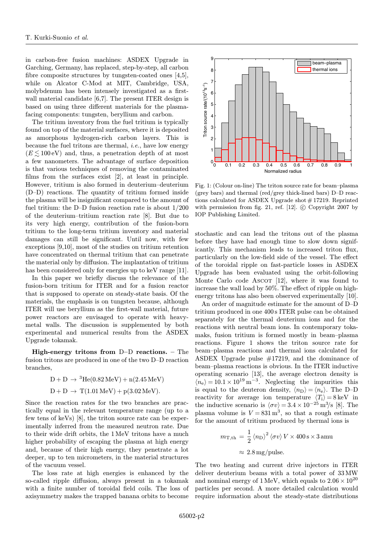in carbon-free fusion machines: ASDEX Upgrade in Garching, Germany, has replaced, step-by-step, all carbon fibre composite structures by tungsten-coated ones [4,5], while on Alcator C-Mod at MIT, Cambridge, USA, molybdenum has been intensely investigated as a firstwall material candidate [6,7]. The present ITER design is based on using three different materials for the plasmafacing components: tungsten, beryllium and carbon.

The tritium inventory from the fuel tritium is typically found on top of the material surfaces, where it is deposited as amorphous hydrogen-rich carbon layers. This is because the fuel tritons are thermal, i.e., have low energy  $(E \leq 100 \text{ eV})$  and, thus, a penetration depth of at most a few nanometers. The advantage of surface deposition is that various techniques of removing the contaminated films from the surfaces exist [2], at least in principle. However, tritium is also formed in deuterium–deuterium (D–D) reactions. The quantity of tritium formed inside the plasma will be insignificant compared to the amount of fuel tritium: the D–D fusion reaction rate is about 1/200 of the deuterium–tritium reaction rate [8]. But due to its very high energy, contribution of the fusion-born tritium to the long-term tritium inventory and material damages can still be significant. Until now, with few exceptions [9,10], most of the studies on tritium retention have concentrated on thermal tritium that can penetrate the material only by diffusion. The implantation of tritium has been considered only for energies up to keV range [11].

In this paper we briefly discuss the relevance of the fusion-born tritium for ITER and for a fusion reactor that is supposed to operate on steady-state basis. Of the materials, the emphasis is on tungsten because, although ITER will use beryllium as the first-wall material, future power reactors are envisaged to operate with heavymetal walls. The discussion is supplemented by both experimental and numerical results from the ASDEX Upgrade tokamak.

High-energy tritons from D–D reactions. – The fusion tritons are produced in one of the two D–D reaction branches,

$$
D + D \rightarrow {}^{3}He(0.82 \text{ MeV}) + n(2.45 \text{ MeV})
$$
  

$$
D + D \rightarrow T(1.01 \text{ MeV}) + p(3.02 \text{ MeV}).
$$

Since the reaction rates for the two branches are practically equal in the relevant temperature range (up to a few tens of keVs) [8], the triton source rate can be experimentally inferred from the measured neutron rate. Due to their wide drift orbits, the 1 MeV tritons have a much higher probability of escaping the plasma at high energy and, because of their high energy, they penetrate a lot deeper, up to ten micrometers, in the material structures of the vacuum vessel.

The loss rate at high energies is enhanced by the so-called ripple diffusion, always present in a tokamak with a finite number of toroidal field coils. The loss of axisymmetry makes the trapped banana orbits to become



Fig. 1: (Colour on-line) The triton source rate for beam–plasma (grey bars) and thermal (red/grey thick-lined bars) D–D reactions calculated for ASDEX Upgrade shot  $\#$  17219. Reprinted with permission from fig. 21, ref.  $[12]$ .  $\copyright$  Copyright 2007 by IOP Publishing Limited.

stochastic and can lead the tritons out of the plasma before they have had enough time to slow down significantly. This mechanism leads to increased triton flux, particularly on the low-field side of the vessel. The effect of the toroidal ripple on fast-particle losses in ASDEX Upgrade has been evaluated using the orbit-following Monte Carlo code Asco $T$  [12], where it was found to increase the wall load by 50%. The effect of ripple on highenergy tritons has also been observed experimentally [10].

An order of magnitude estimate for the amount of D–D tritium produced in one 400 s ITER pulse can be obtained separately for the thermal deuterium ions and for the reactions with neutral beam ions. In contemporary tokamaks, fusion tritium is formed mostly in beam–plasma reactions. Figure 1 shows the triton source rate for beam–plasma reactions and thermal ions calculated for ASDEX Upgrade pulse #17219, and the dominance of beam–plasma reactions is obvious. In the ITER inductive operating scenario [13], the average electron density is  $\langle n_e \rangle = 10.1 \times 10^{19} \,\mathrm{m}^{-3}$ . Neglecting the impurities this is equal to the deuteron density,  $\langle n_{\text{D}} \rangle = \langle n_{\text{e}} \rangle$ . The D-D reactivity for average ion temperature  $\langle T_1 \rangle = 8 \text{ keV}$  in the inductive scenario is  $\langle \sigma v \rangle = 3.4 \times 10^{-25} \,\mathrm{m}^3/\mathrm{s}$  [8]. The plasma volume is  $V = 831 \text{ m}^3$ , so that a rough estimate for the amount of tritium produced by thermal ions is

$$
m_{\text{T,th}} = \frac{1}{2} \langle n_{\text{D}} \rangle^2 \langle \sigma v \rangle V \times 400 \,\text{s} \times 3 \,\text{amu}
$$

$$
\approx 2.8 \,\text{mg/pulse.}
$$

The two heating and current drive injectors in ITER deliver deuterium beams with a total power of 33 MW and nominal energy of  $1 \,\text{MeV}$ , which equals to  $2.06 \times 10^{20}$ particles per second. A more detailed calculation would require information about the steady-state distributions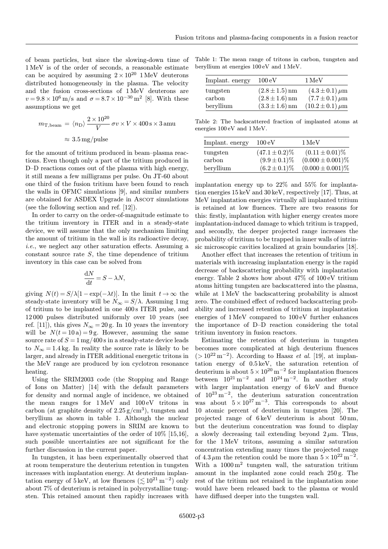of beam particles, but since the slowing-down time of 1 MeV is of the order of seconds, a reasonable estimate can be acquired by assuming  $2 \times 10^{20}$  1 MeV deuterons distributed homogeneously in the plasma. The velocity and the fusion cross-sections of 1 MeV deuterons are  $v = 9.8 \times 10^6$  m/s and  $\sigma = 8.7 \times 10^{-30}$  m<sup>2</sup> [8]. With these assumptions we get

$$
m_{\text{T,beam}} = \langle n_{\text{D}} \rangle \frac{2 \times 10^{20}}{V} \,\sigma v \times V \times 400 \,\text{s} \times 3 \,\text{amu}
$$

$$
\approx 3.5 \,\text{mg/pulse}
$$

for the amount of tritium produced in beam–plasma reactions. Even though only a part of the tritium produced in D–D reactions comes out of the plasma with high energy, it still means a few milligrams per pulse. On JT-60 about one third of the fusion tritium have been found to reach the walls in OFMC simulations [9], and similar numbers are obtained for ASDEX Upgrade in ASCOT simulations (see the following section and ref. [12]).

In order to carry on the order-of-magnitude estimate to the tritium inventory in ITER and in a steady-state device, we will assume that the only mechanism limiting the amount of tritium in the wall is its radioactive decay, i.e., we neglect any other saturation effects. Assuming a constant source rate S, the time dependence of tritium inventory in this case can be solved from

$$
\frac{\mathrm{d}N}{\mathrm{d}t} = S - \lambda N,
$$

giving  $N(t) = S/\lambda[1 - \exp(-\lambda t)].$  In the limit  $t \to \infty$  the steady-state inventory will be  $N_{\infty} = S/\lambda$ . Assuming 1 mg of tritium to be implanted in one 400 s ITER pulse, and 12 000 pulses distributed uniformly over 10 years (see ref. [11]), this gives  $N_{\infty} = 20$  g. In 10 years the inventory will be  $N(t=10a) = 9g$ . However, assuming the same source rate of  $S = 1 \text{ mg}/400 \text{ s}$  in a steady-state device leads to  $N_{\infty} = 1.4 \text{ kg}$ . In reality the source rate is likely to be larger, and already in ITER additional energetic tritons in the MeV range are produced by ion cyclotron resonance heating.

Using the SRIM2003 code (the Stopping and Range of Ions on Matter) [14] with the default parameters for density and normal angle of incidence, we obtained the mean ranges for 1 MeV and 100 eV tritons in carbon (at graphite density of  $2.25 \text{ g/cm}^3$ ), tungsten and beryllium as shown in table 1. Although the nuclear and electronic stopping powers in SRIM are known to have systematic uncertainties of the order of  $10\%$  [15,16], such possible uncertainties are not significant for the further discussion in the current paper.

In tungsten, it has been experimentally observed that at room temperature the deuterium retention in tungsten increases with implantation energy. At deuterium implantation energy of 5 keV, at low fluences ( $\lesssim 10^{21}$  m<sup>-2</sup>) only about 7% of deuterium is retained in polycrystalline tungsten. This retained amount then rapidly increases with

Table 1: The mean range of tritons in carbon, tungsten and beryllium at energies 100 eV and 1 MeV.

| Implant. energy | $100\,\mathrm{eV}$ | 1 MeV                    |
|-----------------|--------------------|--------------------------|
| tungsten        | $(2.8 \pm 1.5)$ nm | $(4.3 \pm 0.1) \,\mu m$  |
| carbon          | $(2.8 \pm 1.6)$ nm | $(7.7 \pm 0.1) \,\mu m$  |
| beryllium       | $(3.3 \pm 1.6)$ nm | $(10.2 \pm 0.1) \,\mu m$ |

Table 2: The backscattered fraction of implanted atoms at energies 100 eV and 1 MeV.

| Implant. energy | $100\,\mathrm{eV}$ | 1 MeV                 |
|-----------------|--------------------|-----------------------|
| tungsten        | $(47.1 \pm 0.2)\%$ | $(0.11 \pm 0.01)\%$   |
| carbon          | $(9.9 \pm 0.1)\%$  | $(0.000 \pm 0.001)\%$ |
| beryllium       | $(6.2 \pm 0.1)\%$  | $(0.000 \pm 0.001)\%$ |

implantation energy up to 22% and 55% for implantation energies 15 keV and 30 keV, respectively [17]. Thus, at MeV implantation energies virtually all implanted tritium is retained at low fluences. There are two reasons for this: firstly, implantation with higher energy creates more implantation-induced damage to which tritium is trapped, and secondly, the deeper projected range increases the probability of tritium to be trapped in inner walls of intrinsic microscopic cavities localized at grain boundaries [18].

Another effect that increases the retention of tritium in materials with increasing implantation energy is the rapid decrease of backscattering probability with implantation energy. Table 2 shows how about 47% of 100 eV tritium atoms hitting tungsten are backscattered into the plasma, while at  $1 \text{ MeV}$  the backscattering probability is almost zero. The combined effect of reduced backscattering probability and increased retention of tritium at implantation energies of 1 MeV compared to 100 eV further enhances the importance of D–D reaction considering the total tritium inventory in fusion reactors.

Estimating the retention of deuterium in tungsten becomes more complicated at high deuterium fluences  $(> 10^{22} \,\mathrm{m}^{-2})$ . According to Haasz *et al.* [19], at implantation energy of 0.5 keV, the saturation retention of deuterium is about  $5 \times 10^{20}$  m<sup>-2</sup> for implantation fluences between  $10^{21} \text{ m}^{-2}$  and  $10^{24} \text{ m}^{-2}$ . In another study with larger implantation energy of 6 keV and fluence of  $10^{23} \text{ m}^{-2}$ , the deuterium saturation concentration was about  $5 \times 10^{27} \text{ m}^{-3}$ . This corresponds to about 10 atomic percent of deuterium in tungsten [20]. The projected range of 6 keV deuterium is about 50 nm, but the deuterium concentration was found to display a slowly decreasing tail extending beyond  $2 \mu m$ . Thus, for the 1 MeV tritons, assuming a similar saturation concentration extending many times the projected range of 4.3  $\mu$ m the retention could be more than  $5 \times 10^{22}$  m<sup>-2</sup>. With a  $1000 \,\mathrm{m}^2$  tungsten wall, the saturation tritium amount in the implanted zone could reach 250 g. The rest of the tritium not retained in the implantation zone would have been released back to the plasma or would have diffused deeper into the tungsten wall.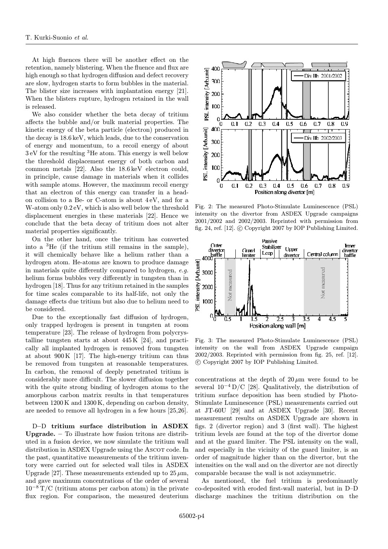At high fluences there will be another effect on the retention, namely blistering. When the fluence and flux are high enough so that hydrogen diffusion and defect recovery are slow, hydrogen starts to form bubbles in the material. The blister size increases with implantation energy [21]. When the blisters rupture, hydrogen retained in the wall is released.

We also consider whether the beta decay of tritium affects the bubble and/or bulk material properties. The kinetic energy of the beta particle (electron) produced in the decay is 18.6 keV, which leads, due to the conservation of energy and momentum, to a recoil energy of about 3 eV for the resulting <sup>3</sup>He atom. This energy is well below the threshold displacement energy of both carbon and common metals [22]. Also the 18.6 keV electron could, in principle, cause damage in materials when it collides with sample atoms. However, the maximum recoil energy that an electron of this energy can transfer in a headon collision to a Be- or C-atom is about 4 eV, and for a W-atom only 0.2 eV, which is also well below the threshold displacement energies in these materials [22]. Hence we conclude that the beta decay of tritium does not alter material properties significantly.

On the other hand, once the tritium has converted into a <sup>3</sup>He (if the tritium still remains in the sample), it will chemically behave like a helium rather than a hydrogen atom. He-atoms are known to produce damage in materials quite differently compared to hydrogen, e.g. helium forms bubbles very differently in tungsten than in hydrogen [18]. Thus for any tritium retained in the samples for time scales comparable to its half-life, not only the damage effects due tritium but also due to helium need to be considered.

Due to the exceptionally fast diffusion of hydrogen, only trapped hydrogen is present in tungsten at room temperature [23]. The release of hydrogen from polycrystalline tungsten starts at about 445 K [24], and practically all implanted hydrogen is removed from tungsten at about 900 K [17]. The high-energy tritium can thus be removed from tungsten at reasonable temperatures. In carbon, the removal of deeply penetrated tritium is considerably more difficult. The slower diffusion together with the quite strong binding of hydrogen atoms to the amorphous carbon matrix results in that temperatures between 1200 K and 1300 K, depending on carbon density, are needed to remove all hydrogen in a few hours [25,26].

D–D tritium surface distribution in ASDEX Upgrade. – To illustrate how fusion tritons are distributed in a fusion device, we now simulate the tritium wall distribution in ASDEX Upgrade using the ASCOT code. In the past, quantitative measurements of the tritium inventory were carried out for selected wall tiles in ASDEX Upgrade [27]. These measurements extended up to  $25 \mu m$ , and gave maximum concentrations of the order of several  $10^{-8}$  T/C (tritium atoms per carbon atom) in the private flux region. For comparison, the measured deuterium



Fig. 2: The measured Photo-Stimulate Luminescence (PSL) intensity on the divertor from ASDEX Upgrade campaigns 2001/2002 and 2002/2003. Reprinted with permission from fig. 24, ref.  $[12]$ .  $\odot$  Copyright 2007 by IOP Publishing Limited.



Fig. 3: The measured Photo-Stimulate Luminescence (PSL) intensity on the wall from ASDEX Upgrade campaign 2002/2003. Reprinted with permission from fig. 25, ref. [12]. c Copyright 2007 by IOP Publishing Limited.

concentrations at the depth of  $20 \mu m$  were found to be several  $10^{-4}$  D/C [28]. Qualitatively, the distribution of tritium surface deposition has been studied by Photo-Stimulate Luminescence (PSL) measurements carried out at JT-60U [29] and at ASDEX Upgrade [30]. Recent measurement results on ASDEX Upgrade are shown in figs. 2 (divertor region) and 3 (first wall). The highest tritium levels are found at the top of the divertor dome and at the guard limiter. The PSL intensity on the wall, and especially in the vicinity of the guard limiter, is an order of magnitude higher than on the divertor, but the intensities on the wall and on the divertor are not directly comparable because the wall is not axisymmetric.

As mentioned, the fuel tritium is predominantly co-deposited with eroded first-wall material, but in D–D discharge machines the tritium distribution on the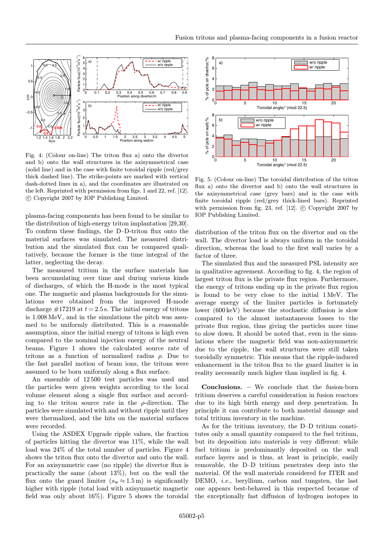

Fig. 4: (Colour on-line) The triton flux a) onto the divertor and b) onto the wall structures in the axisymmetrical case (solid line) and in the case with finite toroidal ripple (red/grey thick dashed line). The strike-points are marked with vertical dash-dotted lines in a), and the coordinates are illustrated on the left. Reprinted with permission from figs. 1 and 22, ref. [12]. c Copyright 2007 by IOP Publishing Limited.

plasma-facing components has been found to be similar to the distribution of high-energy triton implantation [29,30]. To confirm these findings, the D–D-triton flux onto the material surfaces was simulated. The measured distribution and the simulated flux can be compared qualitatively, because the former is the time integral of the latter, neglecting the decay.

The measured tritium in the surface materials has been accumulating over time and during various kinds of discharges, of which the H-mode is the most typical one. The magnetic and plasma backgrounds for the simulations were obtained from the improved H-mode discharge  $\#17219$  at  $t = 2.5$  s. The initial energy of tritons is 1.008 MeV, and in the simulations the pitch was assumed to be uniformly distributed. This is a reasonable assumption, since the initial energy of tritons is high even compared to the nominal injection energy of the neutral beams. Figure 1 shows the calculated source rate of tritons as a function of normalized radius  $\rho$ . Due to the fast parallel motion of beam ions, the tritons were assumed to be born uniformly along a flux surface.

An ensemble of 12 500 test particles was used and the particles were given weights according to the local volume element along a single flux surface and according to the triton source rate in the  $\rho$ -direction. The particles were simulated with and without ripple until they were thermalized, and the hits on the material surfaces were recorded.

Using the ASDEX Upgrade ripple values, the fraction of particles hitting the divertor was 11%, while the wall load was 24% of the total number of particles. Figure 4 shows the triton flux onto the divertor and onto the wall. For an axisymmetric case (no ripple) the divertor flux is practically the same (about 13%), but on the wall the flux onto the guard limiter  $(s_w \approx 1.5 \,\mathrm{m})$  is significantly higher with ripple (total load with axisymmetic magnetic field was only about 16%). Figure 5 shows the toroidal



Fig. 5: (Colour on-line) The toroidal distribution of the triton flux a) onto the divertor and b) onto the wall structures in the axisymmetrical case (grey bars) and in the case with finite toroidal ripple (red/grey thick-lined bars). Reprinted with permission from fig. 23, ref.  $[12]$ .  $\odot$  Copyright 2007 by IOP Publishing Limited.

distribution of the triton flux on the divertor and on the wall. The divertor load is always uniform in the toroidal direction, whereas the load to the first wall varies by a factor of three.

The simulated flux and the measured PSL intensity are in qualitative agreement. According to fig. 4, the region of largest triton flux is the private flux region. Furthermore, the energy of tritons ending up in the private flux region is found to be very close to the initial 1 MeV. The average energy of the limiter particles is fortunately lower (600 keV) because the stochastic diffusion is slow compared to the almost instantaneous losses to the private flux region, thus giving the particles more time to slow down. It should be noted that, even in the simulations where the magnetic field was non-axisymmetric due to the ripple, the wall structures were still taken toroidally symmetric. This means that the ripple-induced enhancement in the triton flux to the guard limiter is in reality necessarily much higher than implied in fig. 4.

Conclusions. – We conclude that the fusion-born tritium deserves a careful consideration in fusion reactors due to its high birth energy and deep penetration. In principle it can contribute to both material damage and total tritium inventory in the machine.

As for the tritium inventory, the D–D tritium constitutes only a small quantity compared to the fuel tritium, but its deposition into materials is very different: while fuel tritium is predominantly deposited on the wall surface layers and is thus, at least in principle, easily removable, the D–D tritium penetrates deep into the material. Of the wall materials considered for ITER and DEMO, i.e., beryllium, carbon and tungsten, the last one appears best-behaved in this respected because of the exceptionally fast diffusion of hydrogen isotopes in